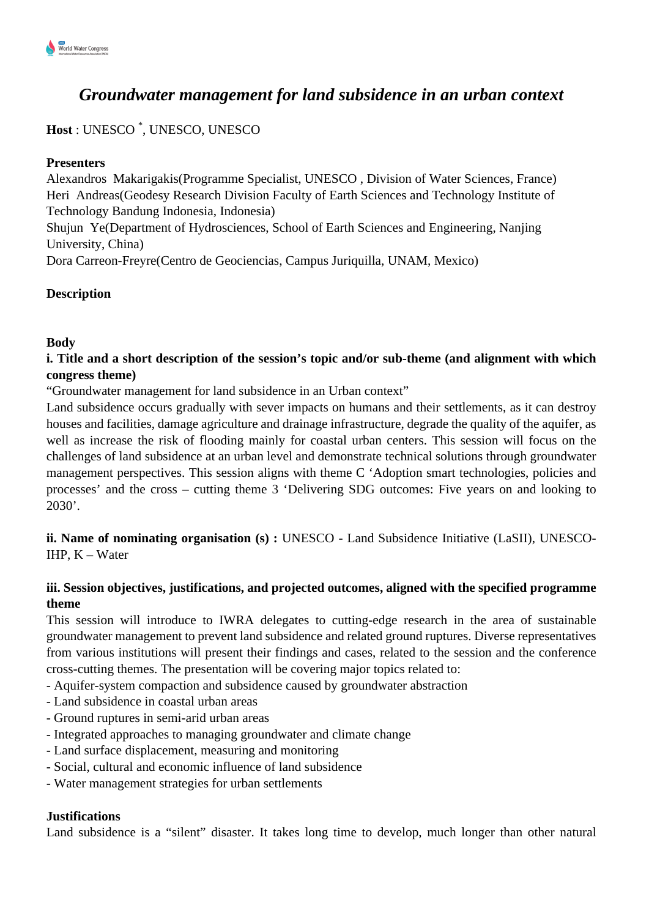

# *Groundwater management for land subsidence in an urban context*

## **Host** : UNESCO \* , UNESCO, UNESCO

#### **Presenters**

Alexandros Makarigakis(Programme Specialist, UNESCO , Division of Water Sciences, France) Heri Andreas(Geodesy Research Division Faculty of Earth Sciences and Technology Institute of Technology Bandung Indonesia, Indonesia)

Shujun Ye(Department of Hydrosciences, School of Earth Sciences and Engineering, Nanjing University, China)

Dora Carreon-Freyre(Centro de Geociencias, Campus Juriquilla, UNAM, Mexico)

## **Description**

## **Body**

### **i. Title and a short description of the session's topic and/or sub-theme (and alignment with which congress theme)**

"Groundwater management for land subsidence in an Urban context"

Land subsidence occurs gradually with sever impacts on humans and their settlements, as it can destroy houses and facilities, damage agriculture and drainage infrastructure, degrade the quality of the aquifer, as well as increase the risk of flooding mainly for coastal urban centers. This session will focus on the challenges of land subsidence at an urban level and demonstrate technical solutions through groundwater management perspectives. This session aligns with theme C 'Adoption smart technologies, policies and processes' and the cross – cutting theme 3 'Delivering SDG outcomes: Five years on and looking to 2030'.

**ii. Name of nominating organisation (s) :** UNESCO - Land Subsidence Initiative (LaSII), UNESCO-IHP, K – Water

## **iii. Session objectives, justifications, and projected outcomes, aligned with the specified programme theme**

This session will introduce to IWRA delegates to cutting-edge research in the area of sustainable groundwater management to prevent land subsidence and related ground ruptures. Diverse representatives from various institutions will present their findings and cases, related to the session and the conference cross-cutting themes. The presentation will be covering major topics related to:

- Aquifer-system compaction and subsidence caused by groundwater abstraction

- Land subsidence in coastal urban areas
- Ground ruptures in semi-arid urban areas
- Integrated approaches to managing groundwater and climate change
- Land surface displacement, measuring and monitoring
- Social, cultural and economic influence of land subsidence
- Water management strategies for urban settlements

#### **Justifications**

Land subsidence is a "silent" disaster. It takes long time to develop, much longer than other natural